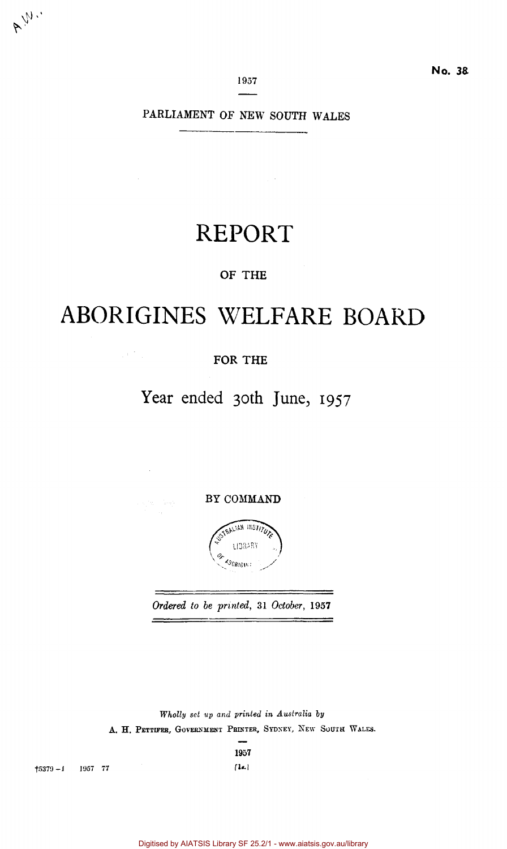**1957** 

PARLIAMENT OF NEW SOUTH WALES

 $\mathcal{L}^{\text{max}}_{\text{max}}$ 

# REPORT

## OF THE

# ABORIGINES WELFARE BOARD

## FOR THE

 $\frac{1}{2} \left( \frac{1}{2} \right)^2 \left( \frac{1}{2} \right)^2$ 

 $\bar{\beta}$ 

i katika Sereka

## Year ended 30th June, 1957

BY COMMAND



*Ordered to be printed,* 31 *October,* 1957 and a state of the complete state of the complete of the complete state of the complete state of the complete<br>The complete state of the complete state of the complete state of the complete state of the complete state of

*Wholly set up and printed in Australia by*  A. H. PETTIFER, GOVERNMENT PRINTER, SYDNEY, NEW SOUTH WALES.

**1957** 

 $\textbf{5379}-\textbf{1}$  1957 77 [1s.]

A W.

Digitised by AIATSIS Library SF 25.2/1 - www.aiatsis.gov.au/library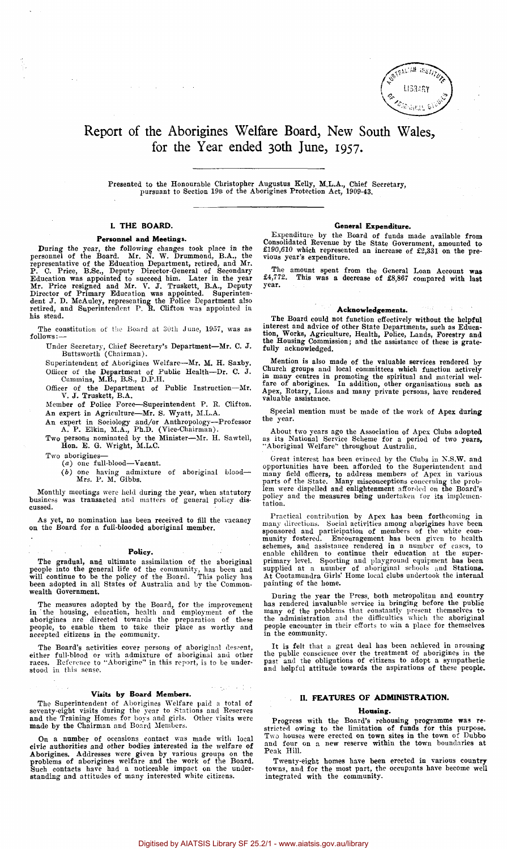

## Report of the Aborigines Welfare Board, New South Wales, for the Year ended 30th June, 1957.

Presented to the Honourable Christopher Augustus Kelly, M.L.A., Chief Secretary, pursuant to Section 19B of the Aborigines Protection Act, 1909-43.

#### **I. THE BOARD.**

 $\omega = \omega$  .

#### **Personnel and Meetings.**

During the year, the following changes took place in the<br>personnel of the Board. Mr. N. W. Drummond, B.A., the<br>representative of the Education Department, retired, and Mr.<br>P. C. Price, B.Sc., Deputy Director-General of Sec his stead.

The constitution of the Board at 30th June, 1957, was as follows:—

Under Secretary, Chief Secretary's Department—Mr. C. J. Buttsworth (Chairman).

Superintendent of Aborigines Welfare—Mr. M. H. Saxby. Officer of the Department of Public Health—Dr. C. J. Cummins,  $M.B., B.S., D.P.H.$ 

Officer of the Department of Public Instruction—Mr. V. J. Truskett, B.A.

Member of Police Force—Superintendent P. B. Clifton.

An expert in Agriculture—Mr. S. Wyatt, M.L.A. An expert in Sociology and/or Anthropology—Professor

A. P. Elkin, M.A., Ph.D. (Vice-Chairman). Two persons nominated by the Minister—Mr. H. Sawtell,

Hon. E. G. Wright, M.L.C. Two aborigines-

(a) one full-blood—Vacant.

(6) one having admixture of aboriginal blood—• Mrs. P. M. Gibbs.

Monthly meetings were held during the year, when statutory business was transacted and matters of general policy discussed.

As yet, no nomination has been received to fill the vacancy on the Board for a full-blooded aboriginal member.

#### **Policy.**

The gradual, and ultimate assimilation of the aboriginal people into the general life of the community, has been and will continue to be the policy of the Board. This policy has been adopted in all States of Australia and wealth Government.

The measures adopted by the Board, for the improvement<br>in the housing, education, health and employment of the<br>aborigines are directed towards the preparation of these<br>people, to enable them to take their place as worthy a

The Board's activities cover persons of aboriginal descent, either full-blood or with admixture of aboriginal and other races. Reference to "Aborigine" in this report, is to be understood in this sense.

#### **Visits** by **Board Members.**

The Superintendent of Aborigines Welfare paid a total of seventy-eight visits during the year to Stations and Reserves and the Training Homes for boys and girls. Other visits were made by the Chairman and Board Members.

On a number of occasions contact was made with local<br>civic authorities and other bodies interested in the welfare of<br>Aborigines. Addresses were given by various groups on the<br>problems of aborigines welfare and the work of

#### **General Expenditure.**

Expenditure by the Board of funds made available from Consolidated Revenue by the State Government, amounted to £190,610 which represented an increase of £2,331 on the pre-vious year's expenditure.

The amount spent from the General Loan Account was £4,772. This was a decrease of £8,867 compared with last year.

#### **Acknowledgements.**

The Board could not function effectively without the helpful interest and advice of other State Departments, such as Educa-tion, Works, Agriculture, Health, Police, Lands, Forestry and the Housing Commission; and the assistance of these is grate-fully acknowledged.

Mention is also made of the valuable services rendered by<br>Church groups and local committees which function actively<br>in many centres in promoting the spiritual and material wel-<br>fare of aborigines. In addition, other organ

Special mention must be made of the work of Apex during the year.

About two years ago the Association of Apex Clubs adopted as its National Service Scheme for a period of two years, "Aboriginal Welfare" throughout Australia.

Great interest has been evinced by the Clubs in N.S.W. and opportunities have been afforded to the Superintendent and<br>many field officers, to address members of Apex in various<br>parts of the State. Many misconceptions concerning the prob-<br>lem were dispelled and enlightenment afford tation.

Practical contribution by Apex has been forthcoming in<br>many directions. Social activities among aborigines have been<br>sponsored and participation of members of the white com-<br>munity fostered. Encouragement has been given to painting of the home.

During the year the Press, both metropolitan and country<br>has rendered invaluable service in bringing before the public<br>many of the problems that constantly present themselves to<br>the administration and the difficulties whic

It is felt that a great deal has been achieved in arousing the public conscience over the treatment of aborigines in the past and the obligations of citizens to adopt a sympathetic and helpful attitude towards the aspirations of these people.

## **H. FEATURES OF ADMINISTRATION.**

#### **Housing.**

Progress with the Board's rehousing programme was restricted owing to the limitation of funds for this purpose. Two houses were erected on town sites in the town of Dubbo and four on a new reserve within the town boundarie

Twenty-eight homes have been erected in various country towns, and for the most part, the occupants have become well integrated with the community.

**おんのう (**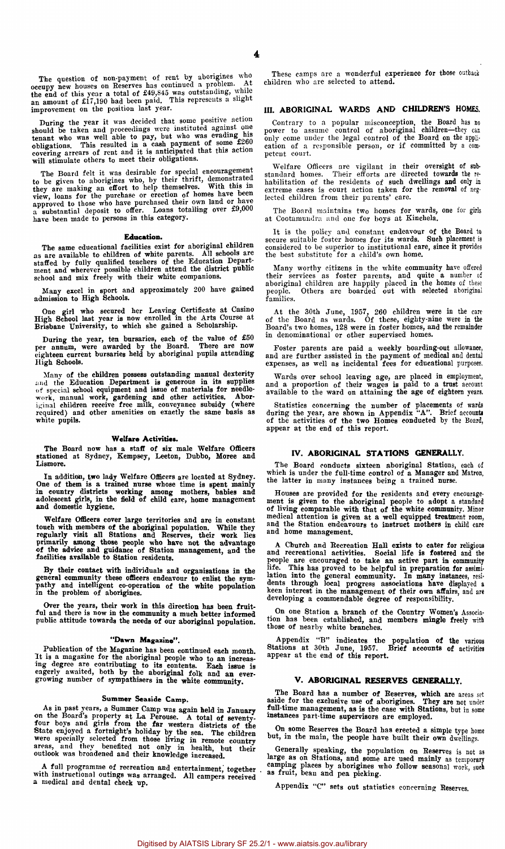During the year it was decided that some positive action<br>should be taken and proceedings were instituted against one<br>tenant who was well able to pay, but who was evading his<br>obligations. This resulted in a cash payment of

The Board felt it was desirable for special encouragement<br>to be given to aborigines who, by their thrift, demonstrated<br>they are making an effort to help themselves. With this in<br>view, loans for the purchase or erection of

#### **Education.**

The same educational facilities exist for aboriginal children as are available to children of white parents. All schools are staffed by fully qualified teachers of the Education Department and wherever possible children into the district public<br>ment and wherever possible children att

Many excel in sport and approximately 200 have gained admission to High Schools.

One girl who secured her Leaving Certificate at Casino High School last year is now enrolled in the Arts Course at Brisbane University, to which she gained a Scholarship.

During the year, ten bursaries, each of the value of £50 per annum, were awarded by the Board. There are now eighteen current bursaries held by aboriginal pupils attending High Schools.

Many of the children possess outstanding manual dexterity and the Education Department is generous in its supplies of special school equipment and issue of materials for needlework, manual work, gardening and other activit

#### Welfare Activities.

The Board now has a staff of six male Welfare Officers stationed at Sydney, Kempsey, Leeton, Dubbo, Moree and Lismore.

In addition, two lady Welfare Officers are located at Sydney.<br>One of them is a trained nurse whose time is spent mainly in country districts working among mothers, babies and addeesent girls, in the field of child care, ho

Welfare Officers cover large territories and are in constant touch with members of the aboriginal population. While they regularly visit all Stations and Reserves, their work lies primarily among those people who have not

By their contact with individuals and organisations in the general community these officers endeavour to enlist the sym-pathy and intelligent co-operation of the white population in the problem of aborigines.

Over the years, their work in this direction has been fruitful and there is now in the community a much better informed public attitude towards the needs of our aboriginal population.

#### "Dawn **Magazine".**

Publication of the Magazine has been continued each month.<br>It is a magazine for the aboriginal people who to an increasing degree are contributing to its contents. Each issue is<br>eagerly awaited, both by the aboriginal folk

#### Summer Seaside Camp.

As in past years, a Summer Camp was again held in January<br>on the Board's property at La Perouse. A total of seventy-<br>four boys and girls from the far western districts of the<br>State enjoyed a fortnight's holiday by the sea.

A full programme of recreation and entertainment, together with instructional outings was arranged. All campers received a medical and dental check up.

These camps are a wonderful experience for those outback children who are selected to attend.

#### III. ABORIGINAL WARDS AND CHILDREN'S HOMES.

Contrary to a popular misconception, the Board has no<br>power to assume control of aboriginal children—they can<br>only come under the legal control of the Board on the application of a responsible person, or if committed by a competent court.

Welfare Officers are vigilant in their oversight of substandard homes. Their efforts are directed towards the rehabilitation of the residents of such dwellings and only in extreme cases is court action taken for the remova lected children from their parents' care.

The Board maintains two homes for wards, one for girls at Cootamundra and one for boys at Kinchela.

It is the policy and constant endeavour of the Board to secure suitable foster homes for its wards. Such placement is considered to be superior to institutional care, since it provides the best substitute for a child's own

Many worthy citizens in the white community have offered their services as foster parents, and quite a number of aboriginal children are happily placed in the homes of these people. Others are boarded out with selected aboriginal records.<br>families.

At the 30th June, 1957, 260 children were in the care<br>of the Board as wards. Of these, eighty-nine were in the<br>Board's two homes, 128 were in foster homes, and the remainder<br>in denominational or other supervised homes.

Foster parents are paid a weekly boarding-out allowance, and are further assisted in the payment of medical and dental expenses, as well as incidental fees for educational purposes.

Wards over school leaving age, are placed in employment, and a proportion of their wages is paid to a trust account available to the ward on attaining the age of eighteen years.

Statistics concerning the number of placements of wards during the year, are shown in Appendix "A". Brief accounts of the two Homes conducted by the Board, appear at the end of this report.

#### **IV. ABORIGINAL STATIONS GENERALLY.**

The Board conducts sixteen aboriginal Stations, each of which is under the full-time control of a Manager and Matron, the latter in many instances being a trained nurse.

Houses are provided for the residents and every encourage-ment is given to the aboriginal people to adopt a standard of living comparable with that of the white community. Minor medical attention is given at a well equipped treatment room, and the Station endeavours to instruct mothers in child care and home management.

A Church and Recreation Hall exists to cater for religious<br>and recreational activities. Social life is fostered and the<br>people are encouraged to take an active part in community<br>life. This has proved to be helpful in prepa

On one Station a branch of the Country Women's Association has been established, and members mingle freely with those of nearby white branches.

Appendix "B" indicates the population of the various Stations at 30th June, 1957. Brief accounts of activities appear at the end of this report.

#### **V. ABORIGINAL RESERVES GENERALLY.**

The Board has a number of Reserves, which are areas set ide for the exclusive use of aborigines. They are not under aside for the exclusive use of aborigines. They are not under full-time management, as is the case with Stations, but in some instances part-time supervisors are employed.

On some Reserves the Board has erected a simple type home but, in the main, the people have built their own dwellings.

Generally speaking, the population on Reserves is not as as on Stations, and some are used mainly as temporary camping places by aborigines who follow seasonal work, such as fruit, beau and pea picking.

Appendix "C" sets out statistics concerning Reserves.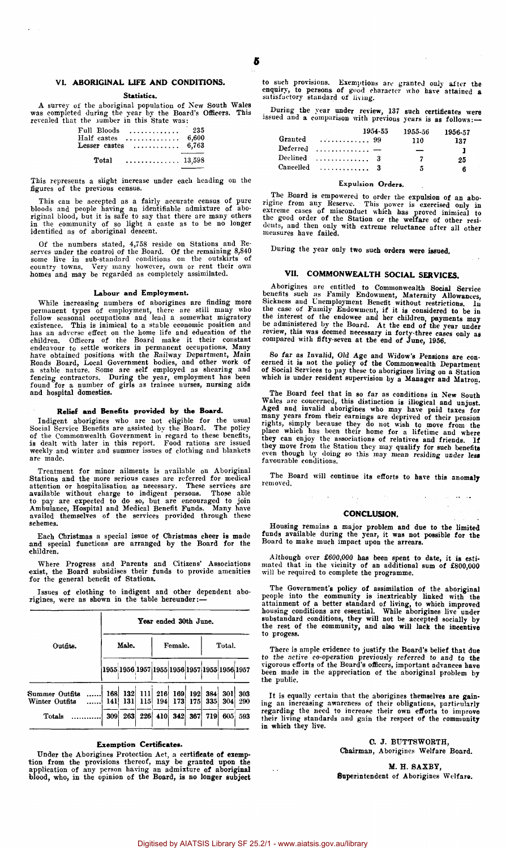#### VI. ABORIGINAL LIFE AND CONDITIONS.

Statistics.

A survey of the aboriginal population of New South Wales was completed during the year by the Board's Officers. This revealed that the lumber in this State was:

| Full Bloods<br>Half castes | .<br>. <b>.</b> .                                 | 235<br>6,600 |
|----------------------------|---------------------------------------------------|--------------|
|                            | Lesser castes $\ldots \ldots \ldots \ldots$ 6,763 |              |
| Total                      | 13.598                                            |              |

This represents a slight increase under each heading on the figures of the previous census.

This can be accepted as a fairly accurate census of pure bloods and people having an identifiable admixture of aboriginal blood, but it is safe to say that there are many others in the community of so light a caste as to b

Of the numbers stated, 4,758 reside on Stations and Reserves under the control of the Board. Of the remaining 8,840 some live in sub-standard conditions on the outskirts of country towns. Very many however, own or rent the

#### Labour and Employment.

While increasing numbers of aborigines are finding more<br>permanent types of employment, there are still many who<br>follow seasonal occupations and lead a somewhat migratory<br>existence. This is inimical to a stable economic pos

#### Relief and Benefits provided by the Board.

Indigent aborigines who are not eligible for the usual<br>Social Service Benefits are assisted by the Board. The policy<br>of the Commonwealth Government in regard to these benefits,<br>is dealt with later in this report. Food rati are made.

Treatment for minor ailments is available on Aboriginal<br>Stations and the more serious cases are referred for medical<br>attention or hospitalisation as necessary. These services are<br>available without charge to indigent person

Each Christmas a special issue of Christmas cheer is made and special functions are arranged by the Board for the children.

Where Progress and Parents and Citizens' Associations exist, the Board subsidises their funds to provide amenities for the general benefit of Stations.

Issues of clothing to indigent and other dependent aborigines, were as shown in the table hereunder:—

|                                  | Year ended 30th June. |       |     |         |                        |     |                |                                              |            |  |  |
|----------------------------------|-----------------------|-------|-----|---------|------------------------|-----|----------------|----------------------------------------------|------------|--|--|
| Outfits.                         |                       | Male. |     | Female. |                        |     | Total.         |                                              |            |  |  |
|                                  |                       |       |     |         |                        |     |                | 1955 1956 1957 1955 1956 1957 1955 1956 1957 |            |  |  |
| Summer Outfits<br>Winter Outfits | 168<br>141            | 131   | 115 | 194     | 132 111 216 169<br>173 | 175 | 192 384<br>335 | 301<br>304                                   | 303<br>290 |  |  |
| Totals                           | 309                   | 263   |     |         | 226 410 342            | 367 | <b>719</b>     | 605                                          | 593        |  |  |

#### Exemption Certificates.

Under the Aborigines Protection Act, a certificate of exemption from the provisions thereof, may be granted upon the application of any person having an admixture of aboriginal blood, who, in the opinion of the Board, is n

to such provisions. Exemptions are granted only after the enquiry, to persons of good character who have attained a satisfactory standard of living.

During the year under review, 137 such certificates were issued and a comparison with previous years is as follows:—

|           | 1954-55                 | 1955-56 | 1956-57 |
|-----------|-------------------------|---------|---------|
| Granted   | . 99                    | 110     | 137     |
| Deferred  | . <i>.</i> <del>.</del> | _       | ı       |
| Declined  | 1.1.1.1.1.1.1.1.1.1.3   | 7       | 25      |
| Cancelled | . 3                     | 5       | 6       |

#### Expulsion Orders.

The Board is empowered to order the expulsion of an abo-<br>rigine from any Reserve. This power is exercised only in<br>extreme cases of misconduct which has proved inimical to<br>the good order of the Station or the welfare of oth

During the year only two such orders were issued.

#### VII. COMMONWEALTH SOCIAL SERVICES.

Aborigines are entitled to Commonwealth Social Service<br>benefits such as Family Endowment, Maternity Allowances,<br>Sickness and Unemployment Benefit without restrictions. In<br>the case of Family Endowment, if it is considered t

So far as Invalid, Old Age and Widow's Pensions are con-cerned it is not the policy of the Commonwealth Department of Social Services to pay these to aborigines living on a Station which is under resident supervision by a Manager and Matron.

The Board feel that in so far as conditions in New South<br>Wales are concerned, this distinction is illogical and unjust.<br>Aged and invalid aborigines who may have paid taxes for<br>many years from their earnings are depived of

The Board will continue its efforts to have this anomaly removed.

#### CONCLUSION.

Housing remains a major problem and due to the limited funds available during the year, it was not possible for the Board to make much impact upon the arrears.

Although over £600,000 has been spent to date, it is esti-<br>mated that in the vicinity of an additional sum of £800,000<br>will be required to complete the programme.

The Government's policy of assimilation of the aboriginal people into the community is inextricably linked with the<br>attainment of a better standard of living, to which improved<br>housing conditions are essential. While aborigines live under<br>substandard conditions, they will not be to progess.

There is ample evidence to justify the Board's belief that due<br>to the active co-operation previously referred to and to the<br>vigorous efforts of the Board's officers, important advances have<br>been made in the appreciation of the public.

It is equally certain that the aborigines themselves are gain-ing an increasing awareness of their obligations, particularly regarding the need to increase their own efforts to improve their living standards and gain the respect of the community<br>in which they live.

> C. J. BUTTSWORTH, Chairman, Aborigines Welfare Board.

M. H. SAXBY, Superintendent of Aborigines Welfare.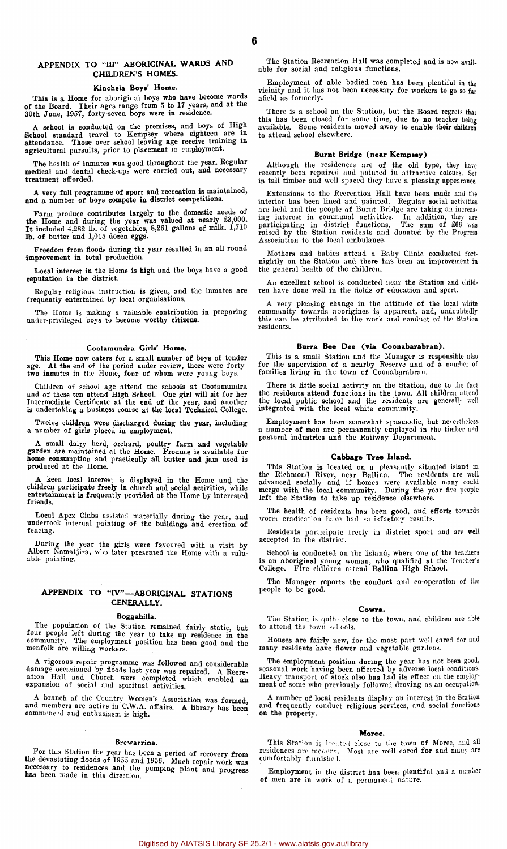#### APPENDIX TO "III" ABORIGINAL WARDS AND CHILDREN'S HOMES.

#### Kinchela Boys' Home.

This is a Home for aboriginal boys who have become wards of the Board. Their ages range from 5 to 17 years, and at the 30th June, 1957, forty-seven boys were in residence.

A school is conducted on the premises, and boys of High School standard travel to Kempsey where eighteen are in attendance. Those over school leaving age receive training in agricultural pursuits, prior to placement in emp

The health of inmates was good throughout the year, Regular medical and dental check-ups were carried out, and necessary treatment afforded.

A very full programme of sport and recreation is maintained, and a number of boys compete in district competitions.

Farm produce contributes largely to the domestic needs of the Home and during the year was valued at nearly £3,000. It included 4,282 lb. of vegetables, 8,261 gallons of milk, 1,710 lb. of butter and 1,015 dozen eggs.

Freedom from floods during the year resulted in an all round improvement in total production.

Local interest in the Home is high and the boys have a good reputation in the district.

Regular religious instruction is given, and the inmates are frequently entertained by local organisations.

The Home is making a valuable contribution in preparing under-privileged boys to become worthy citizens.

#### Cootamundra Girls' Home.

This Home now caters for a small number of boys of tender age. At the end of the period under review, there were forty-two inmates in the Home, four of whom were young boys.

Children of school age attend the schools at Cootamundra<br>and of these ten attend High School. One girl will sit for her<br>Intermediate Certificate at the end of the year, and another<br>is undertaking a business course at the l

Twelve children were discharged during the year, including a number of girls placed in employment.

A small dairy herd, orchard, poultry farm and vegetable garden are maintained at the Home. Produce is available for home consumption and practically all butter and jam used is produced at the Home.

A keen local interest is displayed in the Home and the children participate freely in church and social activities, while entertainment is frequently provided at the Home by interested friends.

Local Apex Clubs assisted materially during the year, and undertook internal painting of the buildings and erection of fencing.

During the year the girls were favoured with a visit by Albert Namatjira, who later presented the Home with a valuable painting.

### APPENDIX TO "IV"—ABORIGINAL STATIONS GENERALLY.

#### Boggabilla.

The population of the Station remained fairly static, but four people left during the year to take up residence in the community. The employment position has been good and the menfolk are willing workers.

A vigorous repair programme was followed and considerable damage occasioned by floods last year was repaired. A Recre-ation Hall and Church were completed which enabled an expansion of social and spiritual activities.

A branch of the Country Women's Association was formed, and members are active in C.W.A. affairs. A library has been commenced and enthusiasm is high.

#### Brewarrina.

For this Station the year has been a period of recovery from the devastating floods of 1955 and 1956. Much repair work was necessary to residences and the pumping plant and progress has been made in this direction.

The Station Recreation Hall was completed and is now available for social and religious functions.

Employment of able bodied men has been plentiful in the vicinity and it has not been necessary for workers to go so far afield as formerly.

There is a school on the Station, but the Board regrets that this has been closed for some time, due to no teacher being available. Some residents moved away to enable their children to attend school elsewhere.

#### Burnt Bridge (near Kempsey)

Although the residences are of the old type, they have recently been repaired and painted in attractive colours. Set in tall timber and well spaced they have a pleasing appearance.

Extensions to the Recreation Hall have been made and the<br>interior has been lined and painted. Regular social activities<br>are held and the people of Burnt Bridge are taking an increas-<br>ing interest in communal activities. I Association to the local ambulance.

Mothers and babies attend a Baby Clinic conducted fort-nightly on the Station and there has been an improvement in the general health of the children.

An excellent school is conducted near the Station and children have done well in the fields of education and sport.

A very pleasing change in the attitude of the local white community towards aborigines is apparent, and, undoubtedly this can be attributed to the work and conduct of the Station residents.

#### Burra Bee Dee (via Coonabarabran).

This is a small Station and the Manager is responsible also for the supervision of a nearby Reserve and of a number of families living in the town of Coonabarabran.

There is little social activity on the Station, due to the fact the residents attend functions in the town. All children attend the local public school and the residents are generally well integrated with the local white community.

Employment has been somewhat spasmodic, but nevertheless a number of men are permanently employed in the timber and pastoral industries and the Railway Department.

#### Cabbage Tree Island.

This Station is located on a pleasantly situated island in the Richmond River, near Ballina. The residents are well advanced socially and if homes were available many could merge with the local community. During the year f

The health of residents has been good, and efforts towards worm eradication have had satisfactory results

Residents participate freely in district sport and are well accepted in the district.

School is conducted on the Island, where one of the teachers is an aboriginal young woman, who qualified at the Teacher's College. Five children attend Ballina High School.

The Manager reports the conduct and co-operation of the people to be good.

#### Cowra.

The Station is quite close to the town, and children are able to attend the town schools.

Houses are fairly new, for the most part well cared for and many residents have flower and vegetable gardens.

The employment position during the year has not been good, seasonal work having been affected by adverse local conditions. Heavy transport of stock also has had its effect on the employment of some who previously followed droving as an occupation.

A number of local residents display an interest in the Station and frequently conduct religious services, and social functions on the property.

#### Moree.

This Station is located close to the town of Moree, and all residences are modern. Most are well cared for and many are comfortably furnished.

Employment in the district has been plentiful and a number of men are in work of a permanent nature.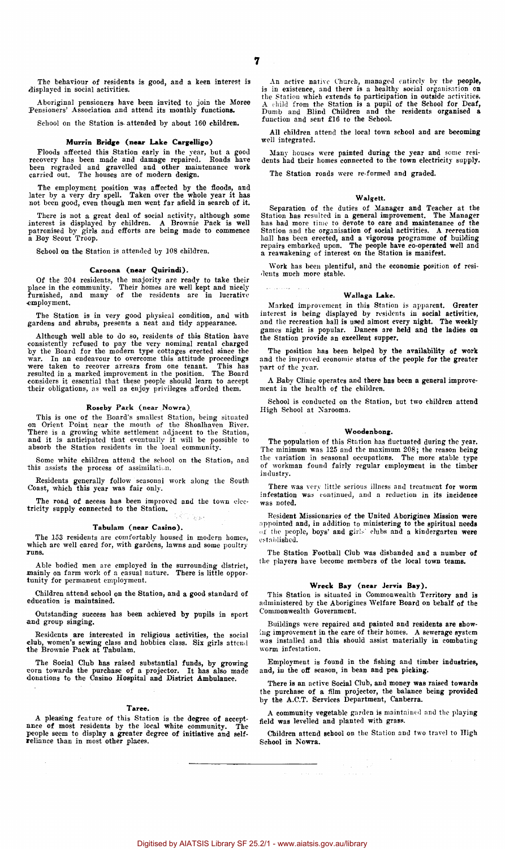The behaviour of residents is good, and a keen interest is displayed in social activities.

Aboriginal pensioners have been invited to join the Moree Pensioners' Association and attend its monthly functions.

School on the Station is- attended by about 160 children.

#### Murrin Bridge (near Lake Cargelligo)

Floods affected this Station early in the year, but a good recovery has been made and damage repaired. Roads have been regraded and gravelled and other maintenance work carried out. The houses are of modern design.

The employment position was affected by the floods, and later by a very dry spell. Taken over the whole year it has not been good, even though men went far afield in search of it.

There is not a great deal of social activity, although some interest is displayed by children. A Brownie Pack is well patronised by girls and efforts are being made to commence a Boy Scout Troop.

School on the Station is attended by 108 children.

#### Caroona (near Quirindi).

Of the 204 residents, the majority are ready to take their place in the community. Their homes are well kept and nicely furnished, and many of the residents are in lucrative •employment.

The Station is in very good physical condition, and with gardens and shrubs, presents a neat and tidy appearance.

Although well able to do so, residents of this Station have<br>consistently refused to pay the very nominal rental charged<br>by the Board for the modern type cottages erected since the<br>war. In an endeavour to overcome this atti considers it essential that these people should learn to accept their obligations, as well as enjoy privileges afforded them.

#### Roseby Park (near Nowra).

This is one of the Board's smallest Station, being situated on Orient Point near the mouth of the Shoalhaven River. There is a growing white settlement adjacent to the Station, and it is anticipated that eventually it will be possible to absorb the Station residents in the local community.

Some white children attend the school on the Station, and this assists the process of assimilation.

Residents generally follow seasonal work along the South Coast, which this year was fair only.

The road of access has been improved and the town electricity supply connected to the Station. Roman.

#### Tabulam (near Casino).

The 153 residents are comfortably housed in modern homes, which are well cared for, with gardens, lawns and some poultry runs.

Able bodied men are employed in the surrounding district, mainly on farm work of a casual nature. There is little oppor-tunity for permanent employment.

Children attend school on the Station, and a good standard of education is maintained.

Outstanding success has been achieved by pupils in sport and group singing.

Residents are interested in religious activities, the social club, women's sewing class and hobbies class. Six girls attend the Brownie Pack at Tabulam.

The Social Club has raised substantial funds, by growing corn towards the purchase of a projector. It has also made donations to the Casino Hospital and District Ambulance.

#### Taree.

A pleasing feature of this Station is the degree of accept-ance of most residents by the local white community. The people seem to display a greater degree of initiative and self-reliance than in most other places.

An active native Church, managed entirely by the people,<br>is in existence, and there is a healthy social organisation on<br>the Station which extends to participation in outside activities.<br>A child from the Station is a pupil function and sent £16 to the School.

All children attend the local town school and are becoming well integrated.

Many houses were painted during the year and some resi-dents had their homes connected to the town electricity supply.

The Station roads were re-formed and graded.

#### Walgett.

Separation of the duties of Manager and Teacher at the Station has resulted in a general improvement. The Manager<br>has had more time to devote to care and maintenance of the<br>Station and the organisation of social activities

Work has been plentiful, and the economic position of resi-dents much more stable.

#### Wallaga Lake.

Marked improvement in this Station is apparent. Greater interest is being displayed by residents in social activities, and the recreation hall is used almost every night. The weekly games night is popular. Dances are held and the ladies on the Station provide an excellent supper.

The position has been helped by the availability of work and the improved economic status of the people for the greater part of the year.

A Baby Clinic operates and there has been a general improvement in the health of the children.

School is conducted on the Station, but two children attend High School at Narooma.

#### Woodenbong.

The population of this Station has fluctuated during the year. The minimum was 125 and the maximum 208; the reason being the variation in seasonal occupations. The more stable type of workman found fairly regular employment in the timber industry.

There was very little serious illness and treatment for worm infestation was continued, and a reduction in its incidence was noted.

Resident Missionaries of the United Aborigines Mission were appointed and, in addition to ministering to the spiritual needs of the people, boys' and girls' clubs and a kindergarten were established.

The Station Football Club was disbanded and a number of the players have become members of the local town teams.

#### Wreck Bay (near Jervis Bay).

This Station is situated in Commonwealth Territory and is administered by the Aborigines Welfare Board on behalf of the Commonwealth Government.

Buildings were repaired and painted and residents are showing improvement in the care of their homes. A sewerage system was installed and this should assist materially in combating worm infestation.

Employment is found in the fishing and timber industries, and, in the off season, in bean and pea picking.

There is an active Social Club, and money was raised towards the purchase of a film projector, the balance being provided by the A.C.T. Services Department, Canberra,

A community vegetable garden is maintained and the playing field was levelled and planted with grass.

Children attend school on the Station and two travel to High School in Nowra.

 $\frac{1}{2}$ 

<del>a sa tanta 199</del><br>Sa tanta na kalendari na katalog ang kalendari ng Kabupatèn Kabupatèn Kabupatèn Kabupatèn Kabupatèn Kabupatèn

 $\bar{z}$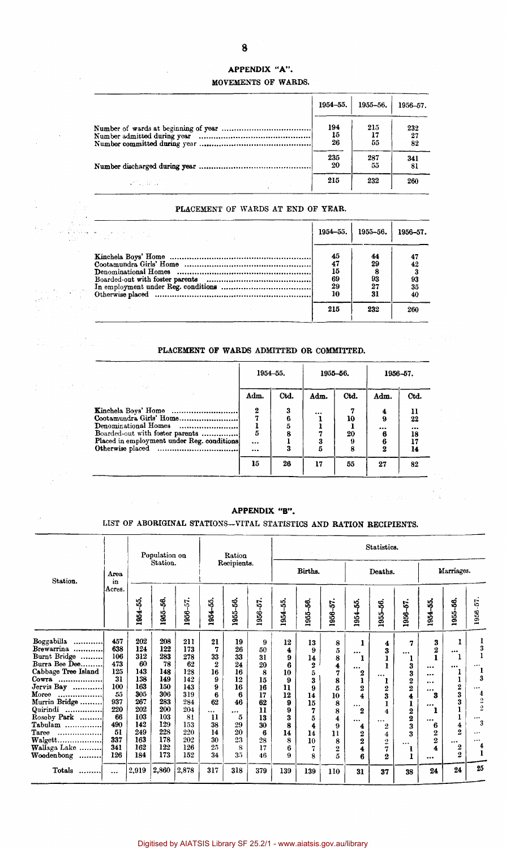## APPENDIX "A".

## MOVEMENTS OF WARDS.

|                               | 1954-55.        | 1955-56.  | 1956-57.        |
|-------------------------------|-----------------|-----------|-----------------|
|                               | 194<br>15<br>26 | 215<br>55 | 232<br>27<br>82 |
|                               | 235<br>20       | 287<br>55 | 341<br>81       |
| and the state of the state of | 215             | 232       | 260             |

## PLACEMENT OF WARDS AT END OF YEAR.

| ili kacamatan ing Kabupatèn Indonesia.<br>Kacamatan ing Kabupatèn Indonesia (Kabupatèn Indonesia) | $1954 - 55.$                            | 1955–56.                          | $1956 - 57$ .               |
|---------------------------------------------------------------------------------------------------|-----------------------------------------|-----------------------------------|-----------------------------|
|                                                                                                   | 45<br>47<br>15<br>69<br>29<br>10<br>215 | 44<br>29<br>93<br>27<br>31<br>232 | 42<br>93<br>35<br>40<br>260 |

## PLACEMENT OF WARDS ADMITTED OR COMMITTED.

|                                                                                                                                                         | 1954-55.               |                  |            | 1955-56.      | 1956-57.                    |                                |
|---------------------------------------------------------------------------------------------------------------------------------------------------------|------------------------|------------------|------------|---------------|-----------------------------|--------------------------------|
| and the state of the state of the state of                                                                                                              | Adm.                   | Ctd.             | Adm.       | Ctd.          | Adm.                        | Ctd.                           |
| Kinchela Boys' Home<br>Cootamundra Girls' Home<br>Denominational Homes<br>Boarded-out with foster parents<br>Placed in employment under Reg. conditions | 2<br>5<br>$\cdots$<br> | 3<br>6<br>5<br>ጹ | <br>3<br>5 | 10<br>20<br>8 | 4<br>9<br><br>6<br>$\bf{2}$ | 11<br>22<br><br>18<br>17<br>14 |
|                                                                                                                                                         | 15                     | 26               | 17         | 55            | 27                          | 82                             |

## APPENDIX "B".

## LIST OF ABORIGINAL STATIONS—VITAL STATISTICS AND RATION RECIPIENTS.

|                                                                                                                                                                                                                                         |                                                                                                          |                                                                                                             | Population on                                                                                               |                                                                                                            |                                                                                                              | Ration                                                                                           | Statistics.                                                                               |                                                                                   |                                                                                                   |                                                                                          |                                                                                                                                                 |                                                                                                               |                                                                                                                                         |                                                                                                                                          |                                                                                                                                                    |                                                                                                                                                             |
|-----------------------------------------------------------------------------------------------------------------------------------------------------------------------------------------------------------------------------------------|----------------------------------------------------------------------------------------------------------|-------------------------------------------------------------------------------------------------------------|-------------------------------------------------------------------------------------------------------------|------------------------------------------------------------------------------------------------------------|--------------------------------------------------------------------------------------------------------------|--------------------------------------------------------------------------------------------------|-------------------------------------------------------------------------------------------|-----------------------------------------------------------------------------------|---------------------------------------------------------------------------------------------------|------------------------------------------------------------------------------------------|-------------------------------------------------------------------------------------------------------------------------------------------------|---------------------------------------------------------------------------------------------------------------|-----------------------------------------------------------------------------------------------------------------------------------------|------------------------------------------------------------------------------------------------------------------------------------------|----------------------------------------------------------------------------------------------------------------------------------------------------|-------------------------------------------------------------------------------------------------------------------------------------------------------------|
| Station.                                                                                                                                                                                                                                | Area.<br>in                                                                                              |                                                                                                             | Station.                                                                                                    |                                                                                                            |                                                                                                              | Recipients.                                                                                      |                                                                                           |                                                                                   | Births.                                                                                           |                                                                                          |                                                                                                                                                 | Deaths.                                                                                                       |                                                                                                                                         |                                                                                                                                          | Marriages.                                                                                                                                         |                                                                                                                                                             |
|                                                                                                                                                                                                                                         | Acres.                                                                                                   | 1954-55,                                                                                                    | 1955-56.                                                                                                    | 1956-57                                                                                                    | 55.<br>1954                                                                                                  | 1955-56.                                                                                         | $956 - 57.$                                                                               | 1954-55.                                                                          | 1955-56.                                                                                          | 1956-57                                                                                  | S,<br>1954                                                                                                                                      | ಕ್ಗೆ<br>1955-                                                                                                 | $1956 - 57$                                                                                                                             | 1954-55.                                                                                                                                 | 1955-56.                                                                                                                                           | 1956-57                                                                                                                                                     |
| Boggabilla<br><br>Brewarrina<br>Burnt Bridge<br>Burra Bee Dee.<br>Cabbage Tree Island<br>Cowra<br><br>Jervis Bay<br><br>Moree<br><br>Murrin Bridge<br>Quirindi<br><br>Roseby Park<br>Tabulam<br>Taree<br><br>Wallaga Lake<br>Woodenbong | 457<br>638<br>106<br>473<br>125<br>31<br>100<br>55<br>937<br>220<br>66<br>490<br>51<br>337<br>341<br>126 | 202<br>124<br>312<br>60<br>143<br>138<br>163<br>305<br>267<br>202<br>103<br>142<br>249<br>163<br>162<br>184 | 208<br>122<br>283<br>78<br>148<br>149<br>150<br>306<br>283<br>200<br>103<br>129<br>228<br>178<br>122<br>173 | 211<br>173<br>278<br>62<br>128<br>142<br>143<br>319<br>284<br>204<br>81<br>153<br>220<br>202<br>126<br>152 | 21<br>7<br>33<br>$\overline{2}$<br>16<br>9<br>9<br>6<br>62<br><br>$\mathbf{u}$<br>38<br>14<br>30<br>25<br>34 | 19<br>26<br>33<br>24<br>16<br>12<br>16<br>6<br>46<br>$\cdots$<br>5<br>29<br>20<br>23<br>8<br>3.5 | 9<br>50<br>31<br>20<br>8<br>15<br>16<br>17<br>62<br>11<br>13<br>30<br>6<br>28<br>17<br>46 | 12<br>4<br>9<br>6<br>10<br>9<br>11<br>12<br>9<br>9<br>3<br>8<br>14<br>8<br>6<br>9 | 13<br>9<br>14<br>$\boldsymbol{2}$<br>5<br>3<br>9<br>14<br>15<br>7<br>5<br>4<br>14<br>10<br>7<br>8 | 8<br>5<br>8<br>4<br>7<br>8<br>5<br>10<br>8<br>8<br>4<br>9<br>$\mathbf{1}$<br>8<br>2<br>5 | ı<br>$\cdots$<br>ı<br><br>$\boldsymbol{2}$<br>ı<br>2<br>4<br>$\cdots$<br>2<br>$\cdots$<br>4<br>2<br>$\overline{2}$<br>$\blacktriangleleft$<br>6 | 4<br>3<br><br>1<br>$\bf 2$<br>3<br>1<br>4<br><br>2<br>$\overline{4}$<br>$\boldsymbol{2}$<br>7<br>$\mathbf{2}$ | 7<br>$\cdots$<br>1<br>3<br>3<br>$\boldsymbol{2}$<br>2<br>4<br>1<br>$\boldsymbol{2}$<br>$\boldsymbol{2}$<br>3<br>3<br>$\cdots$<br>1<br>ı | 3<br>$\overline{\mathbf{2}}$<br>1<br>$\cdots$<br><br>$\cdots$<br>$\cdots$<br>3<br><br>1<br><br>6<br>$\overline{2}$<br>2<br>4<br>$\cdots$ | 1<br>$\cdots$<br>ı<br><br><b>T</b><br>ı<br>$\frac{2}{3}$<br>3<br>1<br>ı<br>4<br>$\overline{2}$<br>$\cdots$<br>$\boldsymbol{2}$<br>$\boldsymbol{2}$ | 3<br>$\cdots$<br>3<br>$\cdots$<br>$\overline{\mathbf{4}}$<br>$\overline{2}$<br>$\overline{2}$<br>$\cdots$<br>3<br>$\cdots$<br>$\cdots$<br>4<br>$\mathbf{l}$ |
| Totals                                                                                                                                                                                                                                  | $\cdots$                                                                                                 | 2,919                                                                                                       | 2,860                                                                                                       | 2,878                                                                                                      | 317                                                                                                          | 318                                                                                              | 379                                                                                       | 139                                                                               | 139                                                                                               | 110                                                                                      | 31                                                                                                                                              | 37                                                                                                            | 38                                                                                                                                      | 24                                                                                                                                       | 24                                                                                                                                                 | 25                                                                                                                                                          |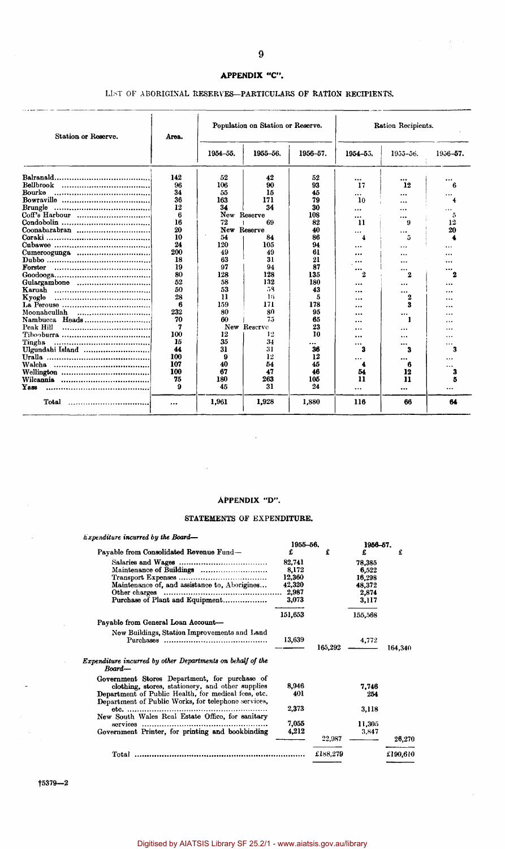## **APPENDIX "C".**

## LIST OF ABORIGINAL RESERVES—PARTICULARS OP RATION RECIPIENTS.

| Station or Reserve. | Area. |              | Population on Station or Reserve. |          | Ration Recipients. |           |               |  |
|---------------------|-------|--------------|-----------------------------------|----------|--------------------|-----------|---------------|--|
|                     |       | 1954-55.     | 1955-56.                          | 1956-57. | 1954-55.           | 1955-56.  | 1956-57.      |  |
|                     | 142   | 52           | 42                                | 52       | $\ddotsc$          |           |               |  |
| Bellbrook           | 96    | 106          | 90                                | 93       | 17                 | 12        | В             |  |
| Bourke              | 34    | 55           | 15                                | 45       |                    |           |               |  |
|                     | 36    | 163          | 171                               | 79       | 10                 |           |               |  |
| Brungle             | 12    | 34           | 34                                | 30       | $\cdots$           | $\ddotsc$ |               |  |
| Coff's Harbour      | 6     | New Reserve  |                                   | 108      |                    |           | 5             |  |
|                     | 16    | 72           | 69                                | 82       | $\mathbf{u}$       | 9         | 12            |  |
|                     | 20    | New Reserve  |                                   | 40       | $\cdots$           | $\cdots$  | 20            |  |
|                     | 10    | 54           | 84                                | 86       | 4                  | 5         |               |  |
|                     | 24    | 120          | 105                               | 94       |                    |           |               |  |
|                     | 200   | 49           | 49                                | 61       |                    |           |               |  |
|                     | 18    | 63           | 31                                | 21       |                    | .         |               |  |
| Forster             | 19    | 97           | 94                                | 87       |                    |           |               |  |
|                     | 80    | 128          | 128                               | 135      | <br>2              | <br>2     | 2             |  |
| Gulargambone        | 52    | 58           | 132                               | 180      |                    |           |               |  |
|                     | 50    | 53           | 58                                | 43       | <br>               |           | <br>.         |  |
| Kyogle<br>          | 28    | $\mathbf{H}$ | 16                                | 5        |                    | <br>2     |               |  |
|                     | 6     | 159          | 171                               | 178      |                    | 3         | .             |  |
| Moonahcullah<br>    | 232   | 80           | 80                                | 95       |                    |           | .             |  |
| Nambucca Heads      | 70    | 60           | 75                                | 65       |                    | $\cdots$  |               |  |
| Peak Hill           | 7     |              | New Reserve                       | 23       |                    |           | .             |  |
|                     | 100   | 12           | 12                                | 10       |                    |           |               |  |
| Tingha              | 15    | 35           | 34                                |          | .                  |           | $\cdots$      |  |
|                     | 44    | 31           | 31                                | <br>36   | <br>3              | <br>3     | 3             |  |
| Ulgundahi Island    | 100   | 9            | 12                                | 12       |                    |           |               |  |
|                     | 107   | 40           | 54                                | 45       |                    | <br>6     |               |  |
|                     | 100   | 67           | 47                                | 46       | 54                 | 12        | $\cdots$<br>3 |  |
|                     | 75    | 180          | 263                               | 105      | 11                 | 11        | 5             |  |
| Үазэ                | 9     | 45           | 31                                | 24       |                    |           | $\cdots$      |  |
| Total               |       | 1,961        | 1,928                             | 1,880    | 116                | 66        | 64            |  |

## APPENDIX "D".

 $\bar{z}$ 

 $\bar{z}$ 

#### STATEMENTS OF EXPENDITURE.

| $Expenditive$ incurred by the Board—                                                                       |          |          |          |          |
|------------------------------------------------------------------------------------------------------------|----------|----------|----------|----------|
|                                                                                                            | 1955-56. |          | 1956-57. |          |
| Payable from Consolidated Revenue Fund-                                                                    | £        | £        | £        | £        |
|                                                                                                            | 82,741   |          | 78.385   |          |
| Maintenance of Buildings                                                                                   | 8,172    |          | 6,522    |          |
|                                                                                                            | 12,360   |          | 16,298   |          |
| Maintenance of, and assistance to, Aborigines                                                              | 42,320   |          | 48,372   |          |
|                                                                                                            | 2,987    |          | 2,874    |          |
| Purchase of Plant and Equipment                                                                            | 3,073    |          | 3.117    |          |
|                                                                                                            | 151,653  |          | 155,568  |          |
| Payable from General Loan Account-                                                                         |          |          |          |          |
| New Buildings, Station Improvements and Land                                                               | 13,639   | 165,292  | 4,772    | 164,340  |
| Expenditure incurred by other Departments on behalf of the<br>Board-                                       |          |          |          |          |
| Government Stores Department, for purchase of                                                              |          |          |          |          |
| clothing, stores, stationery, and other supplies                                                           | 8,946    |          | 7.746    |          |
| Department of Public Health, for medical fees, etc.<br>Department of Public Works, for telephone services, | 401      |          | 254      |          |
|                                                                                                            | 2,373    |          |          |          |
| $etc.$                                                                                                     |          |          | 3,118    |          |
| New South Wales Real Estate Office, for sanitary                                                           | 7,055    |          |          |          |
| services                                                                                                   |          |          | 11,305   |          |
| Government Printer, for printing and bookbinding                                                           | 4,212    |          | 3,847    |          |
|                                                                                                            |          | 22,987   |          | 26,270   |
|                                                                                                            |          | £188,279 |          | £190.610 |

 $\lambda\in\mathbb{R}^{n\times d}$ 

 $15379 - 2$ 

 $\ddot{\phantom{a}}$ 

 $\bar{z}$